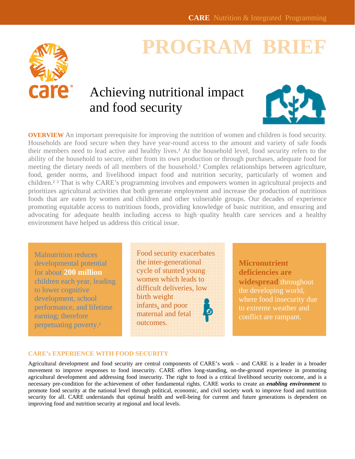

# **PROGRAM BRI**

## Achieving nutritional impact and food security



**OVERVIEW** An important prerequisite for improving the nutrition of women and children is food security. Households are food secure when they have year-round access to the amount and variety of safe foods their members need to lead active and healthy lives.<sup>1</sup> At the household level, food security refers to the ability of the household to secure, either from its own production or through purchases, adequate food for meeting the dietary needs of all members of the household.<sup>1</sup> Complex relationships between agriculture, food, gender norms, and livelihood impact food and nutrition security, particularly of women and children.<sup>2</sup> <sup>3</sup> That is why CARE's programming involves and empowers women in agricultural projects and prioritizes agricultural activities that both generate employment and increase the production of nutritious foods that are eaten by women and children and other vulnerable groups. Our decades of experience promoting equitable access to nutritious foods, providing knowledge of basic nutrition, and ensuring and advocating for adequate health including access to high-quality health care services and a healthy environment have helped us address this critical issue.

Malnutrition reduces developmental potential for about **200 million**  children each year, leading to lower cognitive development, school performance, and lifetime earning; therefore perpetuating poverty.<sup>1</sup>

Food security exacerbates the inter-generational cycle of stunted young women which leads to difficult deliveries, low birth weight infants, and poor maternal and fetal outcomes.

**Micronutrient deficiencies are widespread** throughout the developing world, where food insecurity due to extreme weather and conflict are rampant.

#### **CARE's EXPERIENCE WITH FOOD SECURITY**

Agricultural development and food security are central components of CARE's work – and CARE is a leader in a broader movement to improve responses to food insecurity. CARE offers long-standing, on-the-ground experience in promoting agricultural development and addressing food insecurity. The right to food is a critical livelihood security outcome, and is a necessary pre-condition for the achievement of other fundamental rights. CARE works to create an *enabling environment* to promote food security at the national level through political, economic, and civil society work to improve food and nutrition security for all. CARE understands that optimal health and well-being for current and future generations is dependent on improving food and nutrition security at regional and local levels.